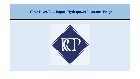# **Clear River/Low Impact Hydropower Insurance Program**

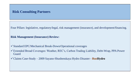Four Pillars: legislative, regulatory/legal, risk management (insurance), and development/financing.

#### **Risk Management (Insurance) Review:**

- ✓Standard EPC/Mechanical Break-Down/Operational coverages
- ✓Extended Broad Coverages: Weather, REC's, Carbon Trading Liability, Debt-Wrap, PPA Power Guard
- ✓Claims Case-Study 2009 Sayano-Shushenskaya Hydro Disaster **RusHydro**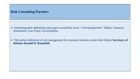- ➢ Interchangeable definitions and jargon around the word: "*risk management*." Banks, Financial Institutions, Law Firms, Governments.
- ➢ The perfect definition of risk management for insurance brokers comes from former **Secretary of Defense Donald H. Rumsfeld:**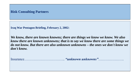**Iraq War Pentagon Briefing, February 2, 2002:** 

*We know, there are known knowns; there are things we know we know. We also know there are known unknowns; that is to say we know there are some things we do not know. But there are also unknown unknowns – the ones we don't know we don't know.*

Insurance…………………………….. *"unknown unknowns"*………………….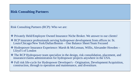Risk Consulting Partners (RCP): Who we are:

- ❖ Privately Held/Employee Owned Insurance Niche Broker. We answer to our clients!
- ❖ RCP insurance professionals serving hydropower development from offices in: St. Louis/Chicago/New York/Dallas/Boston – One Balance Sheet/Team Focused
- ❖ Hydropower Insurance Experience: Marsh & McLennan, Willis, Alexander Howden Lloyd's of London
- ❖ The RCP Hydropower team specialize in the design, risk consolidation, placement, and insurance/claims administration for hydropower projects anywhere in the USA.
- ❖ Full risk life-cycle for Hydropower Developer's Origination, Development/Acquisition, construction, through to operation and maintenance, and divestiture.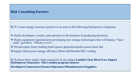RCP's clean-energy insurance practice is an asset to the following hydropower companies:

- ❖ Hydro developers, owners, and operators in the business of producing electricity.
- ❖ Hydro equipment manufacturers developing new storage technologies that will balance "basepeak" gyrations. "efficacy cover".
- ❖ Private equity firms funding hydro-power generation/hydro power-short-fall
- ❖Supply-chain power energy efficiency/Short-fall/Weather/REC trading

RCP places these supply-chain exposures in our unique **London Clear River/Low Impact Hydropower Insurance. This London program Insures:**

**Developers/Contractors/Owners/Operators/Manufacturers/Suppliers**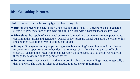Hydro insurance for the following types of hydro projects –

- ❖ **Run-of-the-river:** the natural flow and elevation drop (head) of a river are used to generate electricity. Power stations of this type are built on rivers with a consistent and steady flow.
- ❖ **Diversion:** the supply of water is taken from a dammed river or lake to a remote powerhouse containing the turbine and generator. A Canal or low-pressure tunnel transports the water to this end and then back to the river to continue its course.
- ❖ **Pumped Storage**: water is pumped using reversible pumping/generating units from a lower reservoir to an upper reservoir when demand for electricity is low. During periods of high electricity demand, the water from the upper reservoir is released back to the lower reservoir through the reversible units to generate power.
- ❖ **Impoundment:** river water is stored in a reservoir behind an impounding structure, typically a dam or a weir. The water is released as needed to meet energy requirements.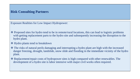Exposure Realities for Low Impact Hydropower:

- ❖ Proposed sites for hydro tend to be in remote/rural locations, this can lead to logistic problems with getting replacement parts to the hydro site and subsequently increasing the disruption to the hydro plant.
- ❖ Hydro plants tend to breakdown
- ❖ The risks of natural perils damaging and interrupting a hydro plant are high with the increased danger freezing, drought, landslide, snow slide and flooding in the immediate vicinity of the hydro plant.
- ❖ Replacement/repair costs of hydropower sites is high compared with other renewables. The development of a hydro site is labor intensive with major civil works often required.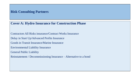# **Cover A: Hydro Insurance for Construction Phase**

Contractors All Risks insurance/Contract Works Insurance Delay in Start Up/Advanced Profits Insurance Goods in Transit Insurance/Marine Insurance Environmental Liability Insurance General Public Liability Reinstatement / Decommissioning Insurance – Alternative to a bond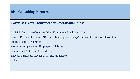## **Cover B: Hydro Insurance for Operational Phase**

All Risks Insurance Cover for Plant/Equipment Breakdown Cover

Loss of Revenue Insurance (Business Interruption cover)/Contingent Business Interruption

Public Liability Insurance (CGL)

Worker's compensation/Employer's Liability

Commercial Auto/Non-Owned/Hired

Executive Risks (D&O, EPL, Crime, Fiduciary)

**Cyber**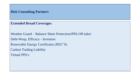**Extended Broad Coverages**:

Weather Guard – Balance Sheet Protection/PPA Off-taker Debt-Wrap, Efficacy - Investors Renewable Energy Certificates (REC'S) Carbon Trading Liability Virtual PPA's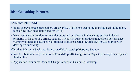#### **ENERGY STORAGE**

- In the energy storage market there are a variety of different technologies being used: lithium ion, redox flow, lead acid, liquid sodium (MIT)
- New Insurance in London for manufacturers and developers in the energy storage industry, primarily in the area of warranty support. These risk transfer products range from performance warranty policies to advanced risk-transfer solutions geared towards low-impact hydropower developers, including:
- ✓Product Warranty Backstop: Defects and Workmanship Warranty Support
- $\checkmark$  Key Attribute Warranty Backstops: Round-Trip Efficiency, Power Capacity, Energy Capacity, and Availability
- ✓Application Insurance: Demand Charge Reduction Guarantee Backstop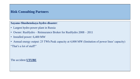**Sayano-Shushenskaya hydro disaster**:

- Largest hydro power plant in Russia
- Owner: RusHydro Reinsurance Broker for RusHydro 2008 2011
- Installed power: 6,400 MW
- Annual energy output: 25 TWh Peak capacity at 4,000 MW (limitation of power lines' capacity) "That's a lot of stuff!"

The accident **UTUBE**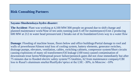#### **Sayano-Shushenskaya hydro disaster:**

**The Accident**: Plant was working at 4,100 MW/300 people on ground due to shift change and planned maintenance work/Nine of ten units running (unit 6 off for maintenance)/Unit 2 producing 600 MW at 212 m water head pressure/unit 2 breaks out of its foundation/Gives way to a water flow

**Damage**: Flooding of machine house, floors below and office buildings/Partial damage to roof and walls of powerhouse/Almost total loss of cooling system, battery elements, generator switches, drainage pumps, elevators, ventilation, cables, switching cabinets, compressor system/Short circuits causing explosions of many oil transformers/Oil leakage (100 tons) caused contamination of downstream trout farms/Widespread power failure/penstock gates did not close immediately but after 75 minutes due to flooded electric safety system/75 fatalities, 62 from maintenance company/CBI loss to Rusal's aluminum smelter/RusHydro'sprice at the LSE: -30%, in Moscow: -10%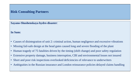**Sayano-Shushenskaya hydro disaster**:

#### **In Sum:**

- Causes of disintegration of unit 2: criminal action, human negligence and excessive vibrations
- Missing fail-safe design at the head gates caused long and severe flooding of the plant
- Human tragedy of 75 fatalities driven by the timing (shift change) and poor safety regulation
- Extensive property damage, business interruption, CBI and environmental losses not insured
- Short and poor risk inspections overlooked deficiencies of relevance to underwriters
- Ambiguities in the Russian insurance and London reinsurance policies delayed claims handling